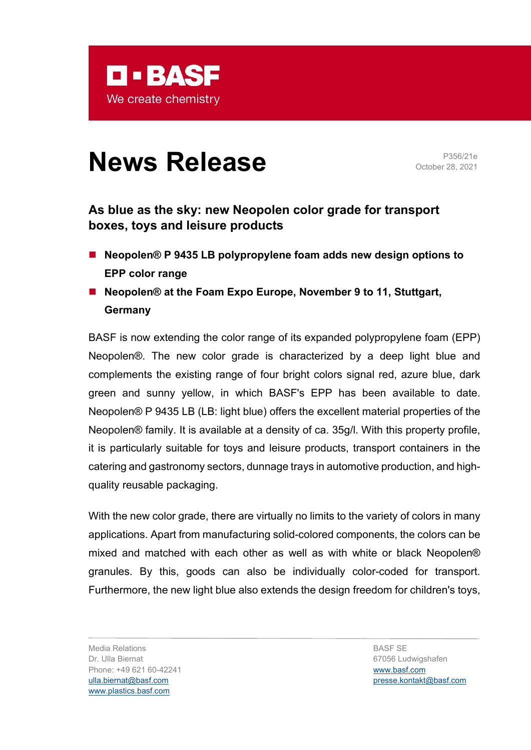

# **News Release** P356/21e

October 28, 2021

# **As blue as the sky: new Neopolen color grade for transport boxes, toys and leisure products**

- Neopolen<sup>®</sup> P 9435 LB polypropylene foam adds new design options to **EPP color range**
- Neopolen<sup>®</sup> at the Foam Expo Europe, November 9 to 11, Stuttgart, **Germany**

BASF is now extending the color range of its expanded polypropylene foam (EPP) Neopolen®. The new color grade is characterized by a deep light blue and complements the existing range of four bright colors signal red, azure blue, dark green and sunny yellow, in which BASF's EPP has been available to date. Neopolen® P 9435 LB (LB: light blue) offers the excellent material properties of the Neopolen® family. It is available at a density of ca. 35g/l. With this property profile, it is particularly suitable for toys and leisure products, transport containers in the catering and gastronomy sectors, dunnage trays in automotive production, and highquality reusable packaging.

With the new color grade, there are virtually no limits to the variety of colors in many applications. Apart from manufacturing solid-colored components, the colors can be mixed and matched with each other as well as with white or black Neopolen® granules. By this, goods can also be individually color-coded for transport. Furthermore, the new light blue also extends the design freedom for children's toys,

Media Relations Dr. Ulla Biernat Phone: +49 621 60-42241 [ulla.biernat@basf.com](mailto:ulla.biernat@basf.com) [www.plastics.basf.com](http://www.plastics.basf.com/)

BASF SE 67056 Ludwigshafen [www.basf.com](http://www.basf.com/) [presse.kontakt@basf.com](mailto:presse.kontakt@basf.com)